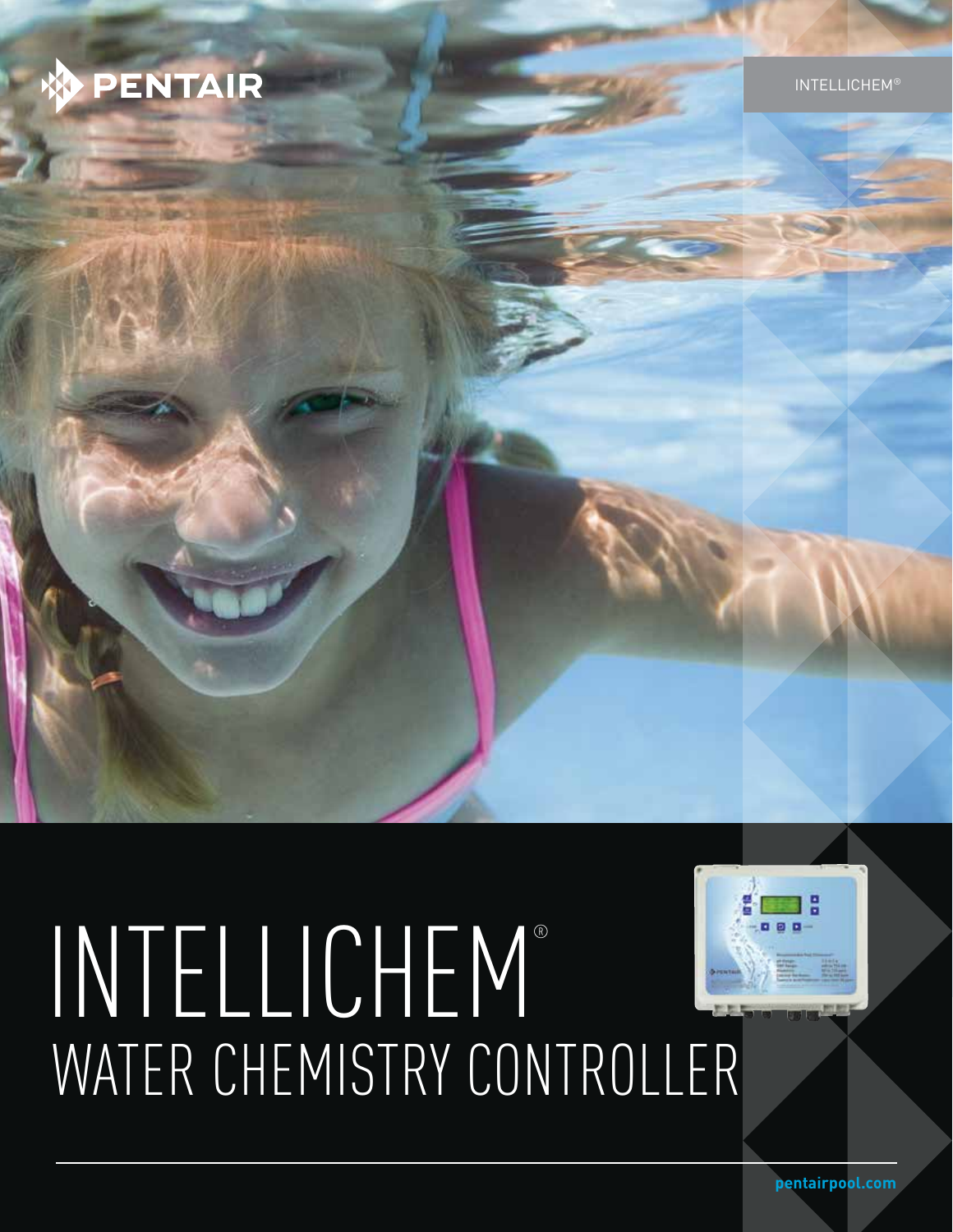

INTELLICHEM®

# INTELLICHEM® WATER CHEMISTRY CONTROLLER

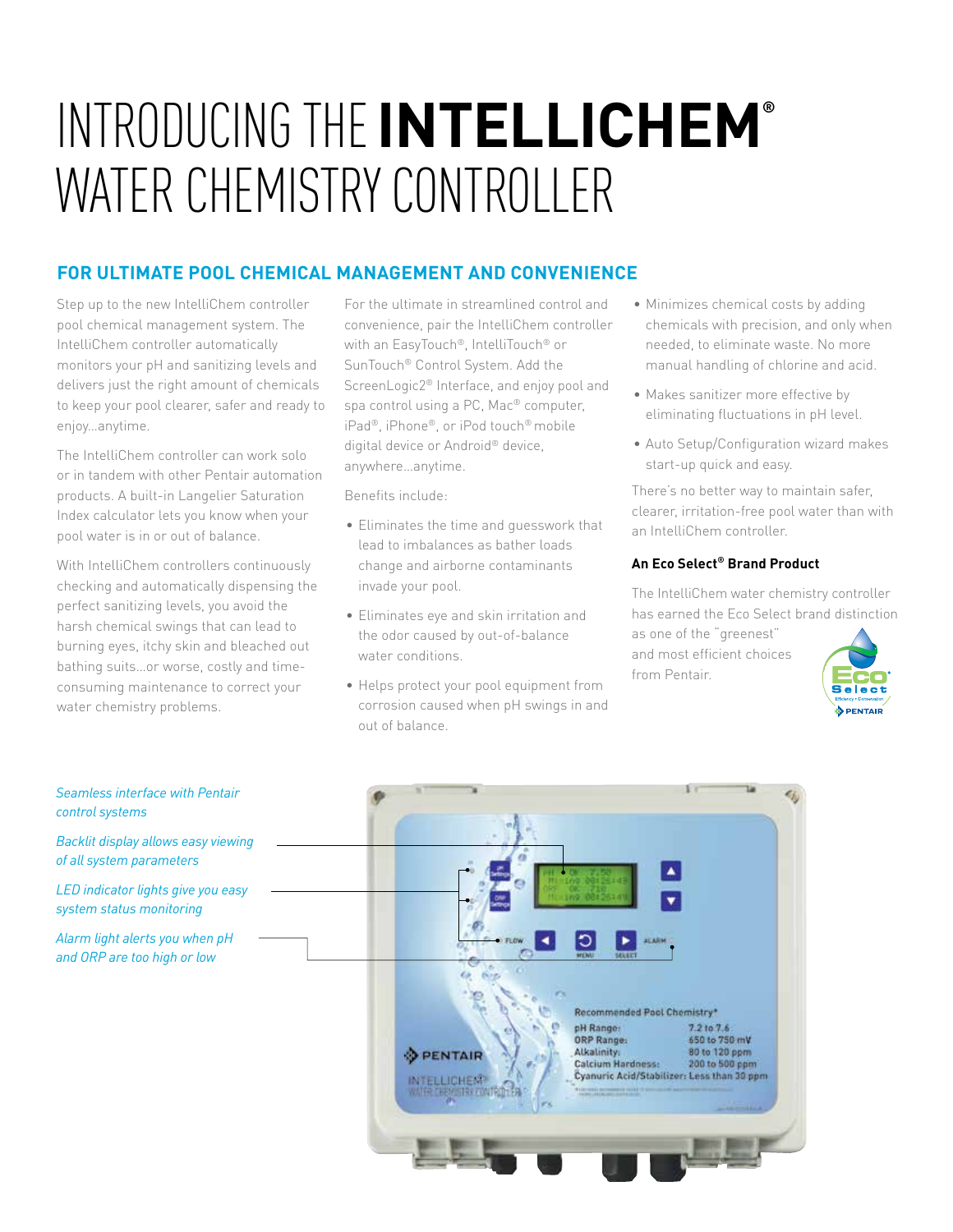## INTRODUCING THE **INTELLICHEM®** WATER CHEMISTRY CONTROLLER

### **FOR ULTIMATE POOL CHEMICAL MANAGEMENT AND CONVENIENCE**

Step up to the new IntelliChem controller pool chemical management system. The IntelliChem controller automatically monitors your pH and sanitizing levels and delivers just the right amount of chemicals to keep your pool clearer, safer and ready to enjoy…anytime.

The IntelliChem controller can work solo or in tandem with other Pentair automation products. A built-in Langelier Saturation Index calculator lets you know when your pool water is in or out of balance.

With IntelliChem controllers continuously checking and automatically dispensing the perfect sanitizing levels, you avoid the harsh chemical swings that can lead to burning eyes, itchy skin and bleached out bathing suits…or worse, costly and timeconsuming maintenance to correct your water chemistry problems.

For the ultimate in streamlined control and convenience, pair the IntelliChem controller with an EasyTouch®, IntelliTouch® or SunTouch® Control System. Add the ScreenLogic2® Interface, and enjoy pool and spa control using a PC, Mac® computer, iPad®, iPhone®, or iPod touch® mobile digital device or Android® device, anywhere…anytime.

Benefits include:

- Eliminates the time and guesswork that lead to imbalances as bather loads change and airborne contaminants invade your pool.
- Eliminates eye and skin irritation and the odor caused by out-of-balance water conditions.
- Helps protect your pool equipment from corrosion caused when pH swings in and out of balance.
- Minimizes chemical costs by adding chemicals with precision, and only when needed, to eliminate waste. No more manual handling of chlorine and acid.
- Makes sanitizer more effective by eliminating fluctuations in pH level.
- Auto Setup/Configuration wizard makes start-up quick and easy.

There's no better way to maintain safer, clearer, irritation-free pool water than with an IntelliChem controller.

### **An Eco Select® Brand Product**

The IntelliChem water chemistry controller has earned the Eco Select brand distinction

as one of the "greenest" and most efficient choices from Pentair.



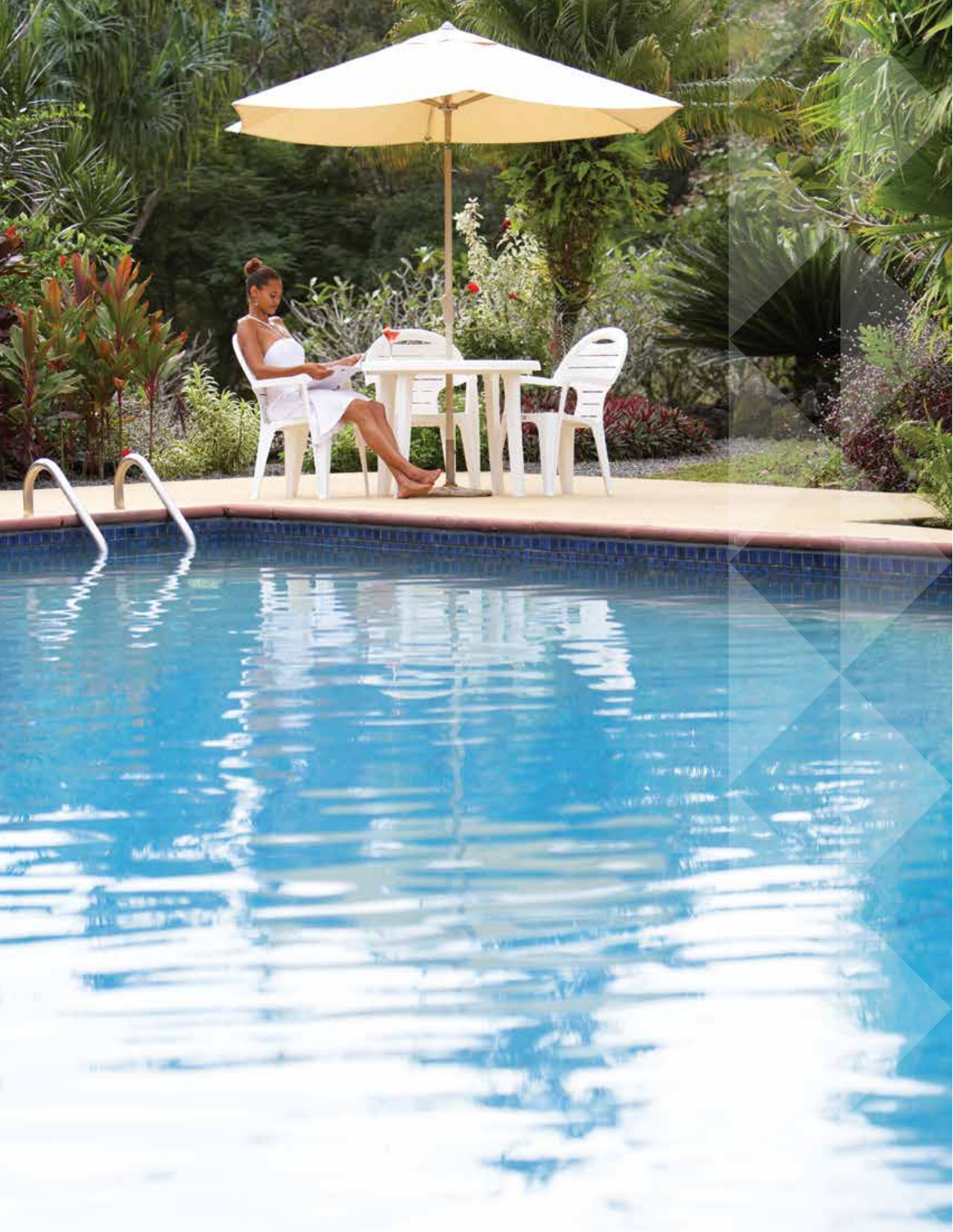